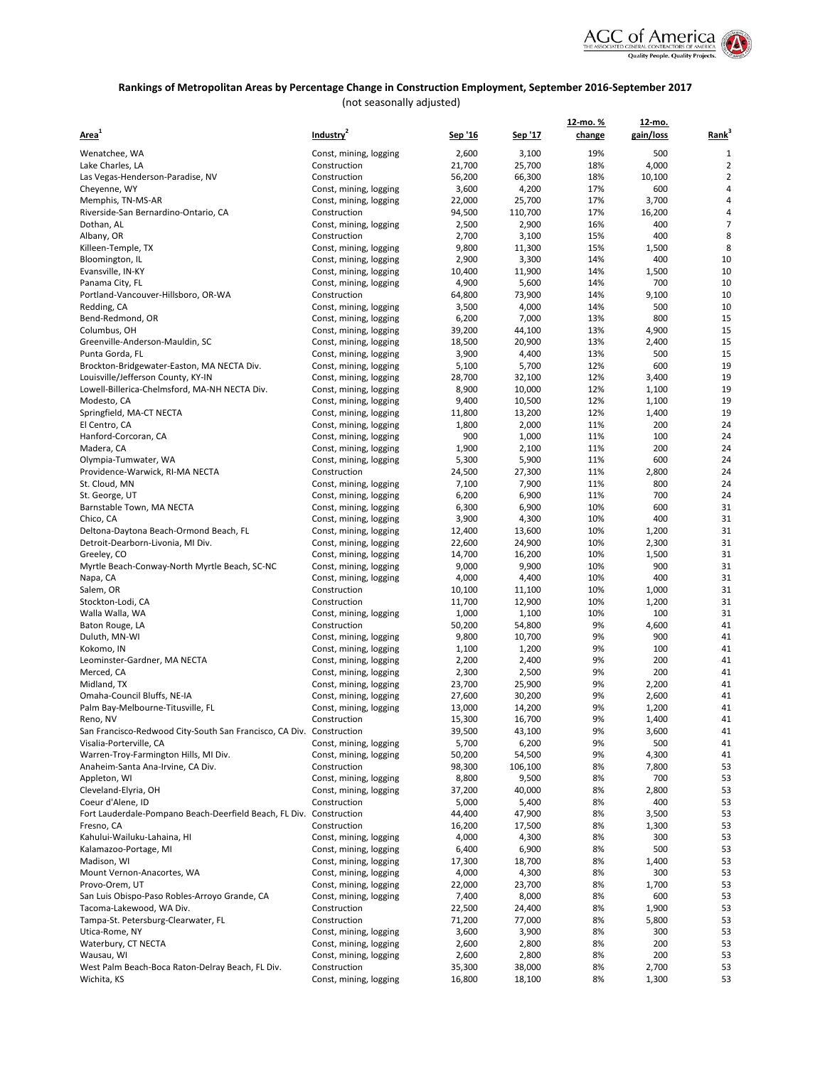

# **Rankings of Metropolitan Areas by Percentage Change in Construction Employment, September 2016-September 2017**

(not seasonally adjusted)

|                                                                                  |                                                  |                 |                 | 12-mo.%  | <u>12-mo.</u> |                   |
|----------------------------------------------------------------------------------|--------------------------------------------------|-----------------|-----------------|----------|---------------|-------------------|
| Area <sup>1</sup>                                                                | Industry <sup>2</sup>                            | Sep '16         | <u>Sep '17</u>  | change   | gain/loss     | Rank <sup>3</sup> |
| Wenatchee, WA                                                                    | Const, mining, logging                           | 2,600           | 3,100           | 19%      | 500           | 1                 |
| Lake Charles, LA                                                                 | Construction                                     | 21,700          | 25,700          | 18%      | 4,000         | $\overline{2}$    |
| Las Vegas-Henderson-Paradise, NV                                                 | Construction                                     | 56,200          | 66,300          | 18%      | 10,100        | $\overline{2}$    |
| Cheyenne, WY                                                                     | Const, mining, logging                           | 3,600           | 4,200           | 17%      | 600           | 4                 |
| Memphis, TN-MS-AR                                                                | Const, mining, logging                           | 22,000          | 25,700          | 17%      | 3,700         | 4                 |
| Riverside-San Bernardino-Ontario, CA                                             | Construction                                     | 94,500          | 110,700         | 17%      | 16,200        | 4                 |
| Dothan, AL                                                                       | Const, mining, logging                           | 2,500           | 2,900           | 16%      | 400           | 7                 |
| Albany, OR                                                                       | Construction                                     | 2,700           | 3,100           | 15%      | 400           | 8                 |
| Killeen-Temple, TX                                                               | Const, mining, logging                           | 9,800           | 11,300          | 15%      | 1,500         | 8                 |
| Bloomington, IL                                                                  | Const, mining, logging                           | 2,900           | 3,300           | 14%      | 400           | 10                |
| Evansville, IN-KY                                                                | Const, mining, logging                           | 10,400          | 11,900          | 14%      | 1,500         | 10                |
| Panama City, FL                                                                  | Const, mining, logging                           | 4,900           | 5,600           | 14%      | 700           | 10                |
| Portland-Vancouver-Hillsboro, OR-WA                                              | Construction                                     | 64,800          | 73,900          | 14%      | 9,100         | 10                |
| Redding, CA                                                                      | Const, mining, logging                           | 3,500           | 4,000           | 14%      | 500           | 10                |
| Bend-Redmond, OR                                                                 | Const, mining, logging                           | 6,200           | 7,000           | 13%      | 800           | 15                |
| Columbus, OH                                                                     | Const, mining, logging                           | 39,200          | 44,100          | 13%      | 4,900         | 15                |
| Greenville-Anderson-Mauldin, SC                                                  | Const, mining, logging                           | 18,500          | 20,900          | 13%      | 2,400         | 15                |
| Punta Gorda, FL                                                                  | Const, mining, logging                           | 3,900           | 4,400           | 13%      | 500           | 15                |
| Brockton-Bridgewater-Easton, MA NECTA Div.                                       | Const, mining, logging                           | 5,100           | 5,700           | 12%      | 600           | 19                |
| Louisville/Jefferson County, KY-IN                                               | Const, mining, logging                           | 28,700          | 32,100          | 12%      | 3,400         | 19                |
| Lowell-Billerica-Chelmsford, MA-NH NECTA Div.                                    | Const, mining, logging                           | 8,900           | 10,000          | 12%      | 1,100         | 19                |
| Modesto, CA                                                                      | Const, mining, logging                           | 9,400           | 10,500          | 12%      | 1,100         | 19                |
| Springfield, MA-CT NECTA                                                         | Const, mining, logging                           | 11,800          | 13,200          | 12%      | 1,400         | 19                |
| El Centro, CA                                                                    | Const, mining, logging                           | 1,800           | 2,000           | 11%      | 200           | 24                |
| Hanford-Corcoran, CA                                                             | Const, mining, logging                           | 900             | 1,000           | 11%      | 100           | 24                |
| Madera, CA                                                                       | Const, mining, logging                           | 1,900           | 2,100           | 11%      | 200           | 24                |
| Olympia-Tumwater, WA                                                             | Const, mining, logging                           | 5,300           | 5,900           | 11%      | 600           | 24                |
| Providence-Warwick, RI-MA NECTA                                                  | Construction                                     | 24,500          | 27,300          | 11%      | 2,800         | 24                |
| St. Cloud, MN                                                                    | Const, mining, logging                           | 7,100           | 7,900           | 11%      | 800           | 24                |
| St. George, UT                                                                   | Const, mining, logging                           | 6,200           | 6,900           | 11%      | 700           | 24                |
| Barnstable Town, MA NECTA                                                        | Const, mining, logging                           | 6,300           | 6,900           | 10%      | 600           | 31                |
| Chico, CA                                                                        | Const, mining, logging                           | 3,900           | 4,300           | 10%      | 400           | 31                |
| Deltona-Daytona Beach-Ormond Beach, FL                                           | Const, mining, logging                           | 12,400          | 13,600          | 10%      | 1,200         | 31                |
| Detroit-Dearborn-Livonia, MI Div.                                                | Const, mining, logging                           | 22,600          | 24,900          | 10%      | 2,300         | 31                |
| Greeley, CO                                                                      | Const, mining, logging                           | 14,700          | 16,200          | 10%      | 1,500         | 31                |
| Myrtle Beach-Conway-North Myrtle Beach, SC-NC                                    | Const, mining, logging                           | 9,000           | 9,900           | 10%      | 900           | 31                |
| Napa, CA                                                                         | Const, mining, logging                           | 4,000           | 4,400           | 10%      | 400           | 31                |
| Salem, OR                                                                        | Construction                                     | 10,100          | 11,100          | 10%      | 1,000         | 31                |
| Stockton-Lodi, CA                                                                | Construction                                     | 11,700          | 12,900          | 10%      | 1,200         | 31                |
| Walla Walla, WA                                                                  | Const, mining, logging                           | 1,000           | 1,100           | 10%      | 100           | 31                |
| Baton Rouge, LA                                                                  | Construction                                     | 50,200          | 54,800          | 9%       | 4,600         | 41                |
| Duluth, MN-WI                                                                    | Const, mining, logging                           | 9,800           | 10,700          | 9%       | 900           | 41                |
| Kokomo, IN                                                                       | Const, mining, logging                           | 1,100           | 1,200           | 9%       | 100           | 41                |
| Leominster-Gardner, MA NECTA                                                     | Const, mining, logging                           | 2,200           | 2,400           | 9%       | 200           | 41                |
| Merced, CA                                                                       | Const, mining, logging                           | 2,300           | 2,500           | 9%       | 200           | 41                |
| Midland, TX                                                                      | Const, mining, logging                           | 23,700          | 25,900          | 9%       | 2,200         | 41                |
| Omaha-Council Bluffs, NE-IA                                                      | Const, mining, logging                           | 27,600          | 30,200          | 9%       | 2,600         | 41                |
| Palm Bay-Melbourne-Titusville, FL                                                | Const, mining, logging                           | 13,000          | 14,200          | 9%<br>9% | 1,200         | 41<br>41          |
| Reno, NV<br>San Francisco-Redwood City-South San Francisco, CA Div. Construction | Construction                                     | 15,300          | 16,700          | 9%       | 1,400         |                   |
|                                                                                  |                                                  | 39,500          | 43,100          | 9%       | 3,600         | 41                |
| Visalia-Porterville, CA<br>Warren-Troy-Farmington Hills, MI Div.                 | Const, mining, logging<br>Const, mining, logging | 5,700<br>50,200 | 6,200<br>54,500 | 9%       | 500<br>4,300  | 41<br>41          |
| Anaheim-Santa Ana-Irvine, CA Div.                                                | Construction                                     | 98,300          | 106,100         | 8%       | 7,800         | 53                |
| Appleton, WI                                                                     | Const, mining, logging                           | 8,800           | 9,500           | 8%       | 700           | 53                |
| Cleveland-Elyria, OH                                                             | Const, mining, logging                           | 37,200          | 40,000          | 8%       | 2,800         | 53                |
| Coeur d'Alene, ID                                                                | Construction                                     | 5,000           | 5,400           | 8%       | 400           | 53                |
| Fort Lauderdale-Pompano Beach-Deerfield Beach, FL Div.                           | Construction                                     | 44,400          | 47,900          | 8%       | 3,500         | 53                |
| Fresno, CA                                                                       | Construction                                     | 16,200          | 17,500          | 8%       | 1,300         | 53                |
| Kahului-Wailuku-Lahaina, HI                                                      | Const, mining, logging                           | 4,000           | 4,300           | 8%       | 300           | 53                |
| Kalamazoo-Portage, MI                                                            | Const, mining, logging                           | 6,400           | 6,900           | 8%       | 500           | 53                |
| Madison, WI                                                                      | Const, mining, logging                           | 17,300          | 18,700          | 8%       | 1,400         | 53                |
| Mount Vernon-Anacortes, WA                                                       | Const, mining, logging                           | 4,000           | 4,300           | 8%       | 300           | 53                |
| Provo-Orem, UT                                                                   | Const, mining, logging                           | 22,000          | 23,700          | 8%       | 1,700         | 53                |
| San Luis Obispo-Paso Robles-Arroyo Grande, CA                                    | Const, mining, logging                           | 7,400           | 8,000           | 8%       | 600           | 53                |
| Tacoma-Lakewood, WA Div.                                                         | Construction                                     | 22,500          | 24,400          | 8%       | 1,900         | 53                |
| Tampa-St. Petersburg-Clearwater, FL                                              | Construction                                     | 71,200          | 77,000          | 8%       | 5,800         | 53                |
| Utica-Rome, NY                                                                   | Const, mining, logging                           | 3,600           | 3,900           | 8%       | 300           | 53                |
| Waterbury, CT NECTA                                                              | Const, mining, logging                           | 2,600           | 2,800           | 8%       | 200           | 53                |
| Wausau, WI                                                                       | Const, mining, logging                           | 2,600           | 2,800           | 8%       | 200           | 53                |
| West Palm Beach-Boca Raton-Delray Beach, FL Div.                                 | Construction                                     | 35,300          | 38,000          | 8%       | 2,700         | 53                |
| Wichita, KS                                                                      | Const, mining, logging                           | 16,800          | 18,100          | 8%       | 1,300         | 53                |
|                                                                                  |                                                  |                 |                 |          |               |                   |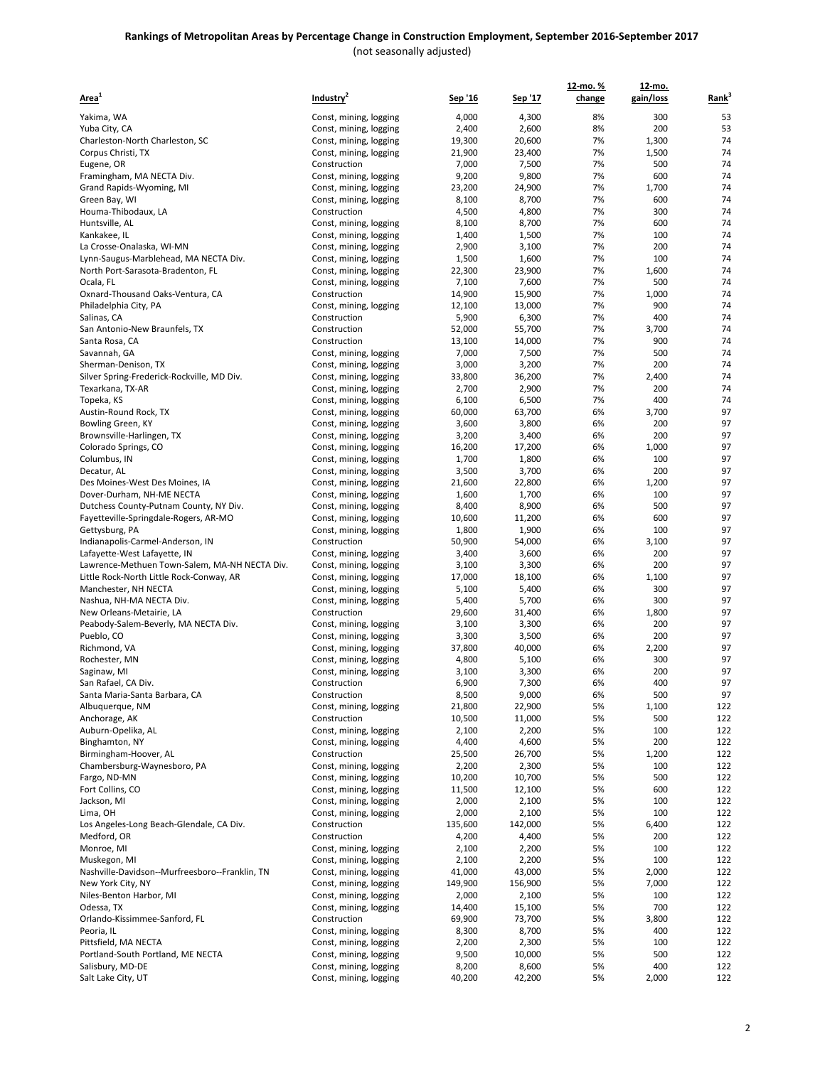| Area <sup>1</sup>                                                               | Industry <sup>2</sup>                            | Sep '16         | Sep '17         | 12-mo.%<br>change | 12-mo.<br>gain/loss | Rank <sup>3</sup> |
|---------------------------------------------------------------------------------|--------------------------------------------------|-----------------|-----------------|-------------------|---------------------|-------------------|
| Yakima, WA                                                                      | Const, mining, logging                           | 4,000           | 4,300           | 8%                | 300                 | 53                |
| Yuba City, CA                                                                   | Const, mining, logging                           | 2,400           | 2,600           | 8%                | 200                 | 53                |
| Charleston-North Charleston, SC                                                 | Const, mining, logging                           | 19,300          | 20,600          | 7%                | 1,300               | 74                |
| Corpus Christi, TX                                                              | Const, mining, logging                           | 21,900          | 23,400          | 7%                | 1,500               | 74                |
| Eugene, OR                                                                      | Construction                                     | 7,000           | 7,500           | 7%                | 500                 | 74                |
| Framingham, MA NECTA Div.                                                       | Const, mining, logging                           | 9,200           | 9,800           | 7%                | 600                 | 74                |
| Grand Rapids-Wyoming, MI                                                        | Const, mining, logging                           | 23,200          | 24,900          | 7%                | 1,700               | 74                |
| Green Bay, WI                                                                   | Const, mining, logging                           | 8,100           | 8,700           | 7%                | 600                 | 74                |
| Houma-Thibodaux, LA                                                             | Construction                                     | 4,500           | 4,800           | 7%                | 300                 | 74                |
| Huntsville, AL                                                                  | Const, mining, logging                           | 8,100           | 8,700           | 7%                | 600                 | 74                |
| Kankakee, IL                                                                    | Const, mining, logging                           | 1,400           | 1,500           | 7%<br>7%          | 100                 | 74                |
| La Crosse-Onalaska, WI-MN<br>Lynn-Saugus-Marblehead, MA NECTA Div.              | Const, mining, logging<br>Const, mining, logging | 2,900<br>1,500  | 3,100<br>1,600  | 7%                | 200<br>100          | 74<br>74          |
| North Port-Sarasota-Bradenton, FL                                               | Const, mining, logging                           | 22,300          | 23,900          | 7%                | 1,600               | 74                |
| Ocala, FL                                                                       | Const, mining, logging                           | 7,100           | 7,600           | 7%                | 500                 | 74                |
| Oxnard-Thousand Oaks-Ventura, CA                                                | Construction                                     | 14,900          | 15,900          | 7%                | 1,000               | 74                |
| Philadelphia City, PA                                                           | Const, mining, logging                           | 12,100          | 13,000          | 7%                | 900                 | 74                |
| Salinas, CA                                                                     | Construction                                     | 5,900           | 6,300           | 7%                | 400                 | 74                |
| San Antonio-New Braunfels, TX                                                   | Construction                                     | 52,000          | 55,700          | 7%                | 3,700               | 74                |
| Santa Rosa, CA                                                                  | Construction                                     | 13,100          | 14,000          | 7%                | 900                 | 74                |
| Savannah, GA                                                                    | Const, mining, logging                           | 7,000           | 7,500           | 7%                | 500                 | 74                |
| Sherman-Denison, TX                                                             | Const, mining, logging                           | 3,000           | 3,200           | 7%<br>7%          | 200                 | 74<br>74          |
| Silver Spring-Frederick-Rockville, MD Div.<br>Texarkana, TX-AR                  | Const, mining, logging                           | 33,800<br>2,700 | 36,200<br>2,900 | 7%                | 2,400<br>200        | 74                |
| Topeka, KS                                                                      | Const, mining, logging<br>Const, mining, logging | 6,100           | 6,500           | 7%                | 400                 | 74                |
| Austin-Round Rock, TX                                                           | Const, mining, logging                           | 60,000          | 63,700          | 6%                | 3,700               | 97                |
| Bowling Green, KY                                                               | Const, mining, logging                           | 3,600           | 3,800           | 6%                | 200                 | 97                |
| Brownsville-Harlingen, TX                                                       | Const, mining, logging                           | 3,200           | 3,400           | 6%                | 200                 | 97                |
| Colorado Springs, CO                                                            | Const, mining, logging                           | 16,200          | 17,200          | 6%                | 1,000               | 97                |
| Columbus, IN                                                                    | Const, mining, logging                           | 1,700           | 1,800           | 6%                | 100                 | 97                |
| Decatur, AL                                                                     | Const, mining, logging                           | 3,500           | 3,700           | 6%                | 200                 | 97                |
| Des Moines-West Des Moines, IA                                                  | Const, mining, logging                           | 21,600          | 22,800          | 6%                | 1,200               | 97                |
| Dover-Durham, NH-ME NECTA                                                       | Const, mining, logging                           | 1,600           | 1,700           | 6%                | 100                 | 97<br>97          |
| Dutchess County-Putnam County, NY Div.<br>Fayetteville-Springdale-Rogers, AR-MO | Const, mining, logging<br>Const, mining, logging | 8,400<br>10,600 | 8,900<br>11,200 | 6%<br>6%          | 500<br>600          | 97                |
| Gettysburg, PA                                                                  | Const, mining, logging                           | 1,800           | 1,900           | 6%                | 100                 | 97                |
| Indianapolis-Carmel-Anderson, IN                                                | Construction                                     | 50,900          | 54,000          | 6%                | 3,100               | 97                |
| Lafayette-West Lafayette, IN                                                    | Const, mining, logging                           | 3,400           | 3,600           | 6%                | 200                 | 97                |
| Lawrence-Methuen Town-Salem, MA-NH NECTA Div.                                   | Const, mining, logging                           | 3,100           | 3,300           | 6%                | 200                 | 97                |
| Little Rock-North Little Rock-Conway, AR                                        | Const, mining, logging                           | 17,000          | 18,100          | 6%                | 1,100               | 97                |
| Manchester, NH NECTA                                                            | Const, mining, logging                           | 5,100           | 5,400           | 6%                | 300                 | 97                |
| Nashua, NH-MA NECTA Div.                                                        | Const, mining, logging                           | 5,400           | 5,700           | 6%                | 300                 | 97                |
| New Orleans-Metairie, LA                                                        | Construction                                     | 29,600          | 31,400          | 6%<br>6%          | 1,800               | 97<br>97          |
| Peabody-Salem-Beverly, MA NECTA Div.<br>Pueblo, CO                              | Const, mining, logging<br>Const, mining, logging | 3,100<br>3,300  | 3,300<br>3,500  | 6%                | 200<br>200          | 97                |
| Richmond, VA                                                                    | Const, mining, logging                           | 37,800          | 40,000          | 6%                | 2,200               | 97                |
| Rochester, MN                                                                   | Const, mining, logging                           | 4,800           | 5,100           | 6%                | 300                 | 97                |
| Saginaw, MI                                                                     | Const, mining, logging                           | 3,100           | 3,300           | 6%                | 200                 | 97                |
| San Rafael, CA Div.                                                             | Construction                                     | 6,900           | 7,300           | 6%                | 400                 | 97                |
| Santa Maria-Santa Barbara, CA                                                   | Construction                                     | 8,500           | 9,000           | 6%                | 500                 | 97                |
| Albuquerque, NM                                                                 | Const, mining, logging                           | 21,800          | 22,900          | 5%                | 1,100               | 122               |
| Anchorage, AK                                                                   | Construction                                     | 10,500          | 11,000          | 5%                | 500                 | 122               |
| Auburn-Opelika, AL<br>Binghamton, NY                                            | Const, mining, logging                           | 2,100           | 2,200<br>4,600  | 5%                | 100<br>200          | 122               |
| Birmingham-Hoover, AL                                                           | Const, mining, logging<br>Construction           | 4,400<br>25,500 | 26,700          | 5%<br>5%          | 1,200               | 122<br>122        |
| Chambersburg-Waynesboro, PA                                                     | Const, mining, logging                           | 2,200           | 2,300           | 5%                | 100                 | 122               |
| Fargo, ND-MN                                                                    | Const, mining, logging                           | 10,200          | 10,700          | 5%                | 500                 | 122               |
| Fort Collins, CO                                                                | Const, mining, logging                           | 11,500          | 12,100          | 5%                | 600                 | 122               |
| Jackson, MI                                                                     | Const, mining, logging                           | 2,000           | 2,100           | 5%                | 100                 | 122               |
| Lima, OH                                                                        | Const, mining, logging                           | 2,000           | 2,100           | 5%                | 100                 | 122               |
| Los Angeles-Long Beach-Glendale, CA Div.                                        | Construction                                     | 135,600         | 142,000         | 5%                | 6,400               | 122               |
| Medford, OR                                                                     | Construction                                     | 4,200           | 4,400           | 5%                | 200                 | 122               |
| Monroe, MI<br>Muskegon, MI                                                      | Const, mining, logging<br>Const, mining, logging | 2,100<br>2,100  | 2,200<br>2,200  | 5%<br>5%          | 100<br>100          | 122<br>122        |
| Nashville-Davidson--Murfreesboro--Franklin, TN                                  | Const, mining, logging                           | 41,000          | 43,000          | 5%                | 2,000               | 122               |
| New York City, NY                                                               | Const, mining, logging                           | 149,900         | 156,900         | 5%                | 7,000               | 122               |
| Niles-Benton Harbor, MI                                                         | Const, mining, logging                           | 2,000           | 2,100           | 5%                | 100                 | 122               |
| Odessa, TX                                                                      | Const, mining, logging                           | 14,400          | 15,100          | 5%                | 700                 | 122               |
| Orlando-Kissimmee-Sanford, FL                                                   | Construction                                     | 69,900          | 73,700          | 5%                | 3,800               | 122               |
| Peoria, IL                                                                      | Const, mining, logging                           | 8,300           | 8,700           | 5%                | 400                 | 122               |
| Pittsfield, MA NECTA                                                            | Const, mining, logging                           | 2,200           | 2,300           | 5%                | 100                 | 122               |
| Portland-South Portland, ME NECTA                                               | Const, mining, logging                           | 9,500           | 10,000          | 5%                | 500                 | 122               |
| Salisbury, MD-DE                                                                | Const, mining, logging                           | 8,200           | 8,600           | 5%                | 400                 | 122               |
| Salt Lake City, UT                                                              | Const, mining, logging                           | 40,200          | 42,200          | 5%                | 2,000               | 122               |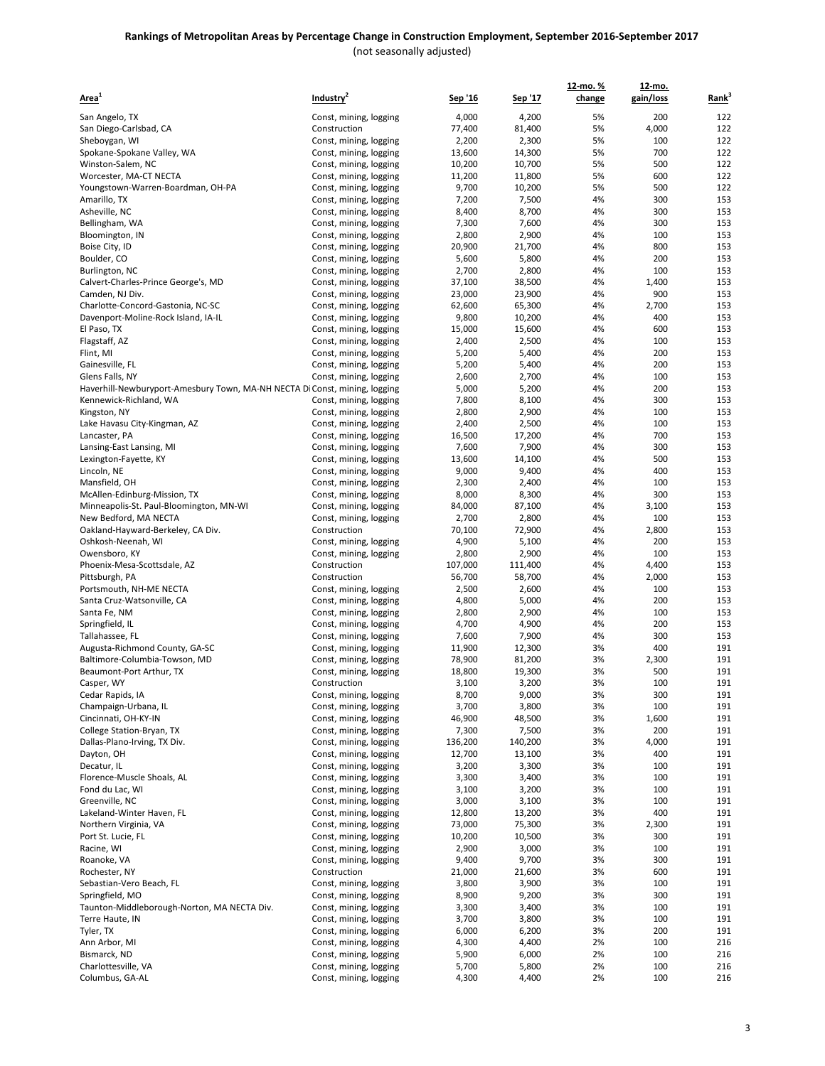| Area <sup>1</sup>                                                          | Industry <sup>2</sup>                            | <u>Sep '16</u>  | Sep '17         | 12-mo.%<br>change | 12-mo.<br>gain/loss | Rank <sup>3</sup> |
|----------------------------------------------------------------------------|--------------------------------------------------|-----------------|-----------------|-------------------|---------------------|-------------------|
| San Angelo, TX                                                             | Const, mining, logging                           | 4,000           | 4,200           | 5%                | 200                 | 122               |
| San Diego-Carlsbad, CA                                                     | Construction                                     | 77,400          | 81,400          | 5%                | 4,000               | 122               |
| Sheboygan, WI                                                              | Const, mining, logging                           | 2,200           | 2,300           | 5%                | 100                 | 122               |
| Spokane-Spokane Valley, WA                                                 | Const, mining, logging                           | 13,600          | 14,300          | 5%                | 700                 | 122               |
| Winston-Salem, NC                                                          | Const, mining, logging                           | 10,200          | 10,700          | 5%                | 500                 | 122               |
| Worcester, MA-CT NECTA                                                     | Const, mining, logging                           | 11,200          | 11,800          | 5%                | 600                 | 122               |
| Youngstown-Warren-Boardman, OH-PA                                          | Const, mining, logging                           | 9,700           | 10,200          | 5%                | 500                 | 122               |
| Amarillo, TX                                                               | Const, mining, logging                           | 7,200           | 7,500           | 4%                | 300                 | 153               |
| Asheville, NC                                                              | Const, mining, logging                           | 8,400           | 8,700           | 4%                | 300                 | 153               |
| Bellingham, WA                                                             | Const, mining, logging                           | 7,300<br>2,800  | 7,600<br>2,900  | 4%<br>4%          | 300<br>100          | 153<br>153        |
| Bloomington, IN<br>Boise City, ID                                          | Const, mining, logging<br>Const, mining, logging | 20,900          | 21,700          | 4%                | 800                 | 153               |
| Boulder, CO                                                                | Const, mining, logging                           | 5,600           | 5,800           | 4%                | 200                 | 153               |
| Burlington, NC                                                             | Const, mining, logging                           | 2,700           | 2,800           | 4%                | 100                 | 153               |
| Calvert-Charles-Prince George's, MD                                        | Const, mining, logging                           | 37,100          | 38,500          | 4%                | 1,400               | 153               |
| Camden, NJ Div.                                                            | Const, mining, logging                           | 23,000          | 23,900          | 4%                | 900                 | 153               |
| Charlotte-Concord-Gastonia, NC-SC                                          | Const, mining, logging                           | 62,600          | 65,300          | 4%                | 2,700               | 153               |
| Davenport-Moline-Rock Island, IA-IL                                        | Const, mining, logging                           | 9,800           | 10,200          | 4%                | 400                 | 153               |
| El Paso, TX                                                                | Const, mining, logging                           | 15,000          | 15,600          | 4%                | 600                 | 153               |
| Flagstaff, AZ                                                              | Const, mining, logging                           | 2,400           | 2,500           | 4%<br>4%          | 100                 | 153               |
| Flint, MI<br>Gainesville, FL                                               | Const, mining, logging<br>Const, mining, logging | 5,200<br>5,200  | 5,400<br>5,400  | 4%                | 200<br>200          | 153<br>153        |
| Glens Falls, NY                                                            | Const, mining, logging                           | 2,600           | 2,700           | 4%                | 100                 | 153               |
| Haverhill-Newburyport-Amesbury Town, MA-NH NECTA Di Const, mining, logging |                                                  | 5,000           | 5,200           | 4%                | 200                 | 153               |
| Kennewick-Richland, WA                                                     | Const, mining, logging                           | 7,800           | 8,100           | 4%                | 300                 | 153               |
| Kingston, NY                                                               | Const, mining, logging                           | 2,800           | 2,900           | 4%                | 100                 | 153               |
| Lake Havasu City-Kingman, AZ                                               | Const, mining, logging                           | 2,400           | 2,500           | 4%                | 100                 | 153               |
| Lancaster, PA                                                              | Const, mining, logging                           | 16,500          | 17,200          | 4%                | 700                 | 153               |
| Lansing-East Lansing, MI                                                   | Const, mining, logging                           | 7,600           | 7,900           | 4%                | 300                 | 153               |
| Lexington-Fayette, KY                                                      | Const, mining, logging                           | 13,600          | 14,100          | 4%                | 500                 | 153               |
| Lincoln, NE                                                                | Const, mining, logging                           | 9,000           | 9,400           | 4%                | 400                 | 153               |
| Mansfield, OH<br>McAllen-Edinburg-Mission, TX                              | Const, mining, logging<br>Const, mining, logging | 2,300<br>8,000  | 2,400<br>8,300  | 4%<br>4%          | 100<br>300          | 153<br>153        |
| Minneapolis-St. Paul-Bloomington, MN-WI                                    | Const, mining, logging                           | 84,000          | 87,100          | 4%                | 3,100               | 153               |
| New Bedford, MA NECTA                                                      | Const, mining, logging                           | 2,700           | 2,800           | 4%                | 100                 | 153               |
| Oakland-Hayward-Berkeley, CA Div.                                          | Construction                                     | 70,100          | 72,900          | 4%                | 2,800               | 153               |
| Oshkosh-Neenah, WI                                                         | Const, mining, logging                           | 4,900           | 5,100           | 4%                | 200                 | 153               |
| Owensboro, KY                                                              | Const, mining, logging                           | 2,800           | 2,900           | 4%                | 100                 | 153               |
| Phoenix-Mesa-Scottsdale, AZ                                                | Construction                                     | 107,000         | 111,400         | 4%                | 4,400               | 153               |
| Pittsburgh, PA                                                             | Construction                                     | 56,700          | 58,700          | 4%                | 2,000               | 153               |
| Portsmouth, NH-ME NECTA                                                    | Const, mining, logging                           | 2,500           | 2,600           | 4%                | 100                 | 153               |
| Santa Cruz-Watsonville, CA<br>Santa Fe, NM                                 | Const, mining, logging<br>Const, mining, logging | 4,800<br>2,800  | 5,000<br>2,900  | 4%<br>4%          | 200<br>100          | 153<br>153        |
| Springfield, IL                                                            | Const, mining, logging                           | 4,700           | 4,900           | 4%                | 200                 | 153               |
| Tallahassee, FL                                                            | Const, mining, logging                           | 7,600           | 7,900           | 4%                | 300                 | 153               |
| Augusta-Richmond County, GA-SC                                             | Const, mining, logging                           | 11,900          | 12,300          | 3%                | 400                 | 191               |
| Baltimore-Columbia-Towson, MD                                              | Const, mining, logging                           | 78,900          | 81,200          | 3%                | 2,300               | 191               |
| Beaumont-Port Arthur, TX                                                   | Const, mining, logging                           | 18,800          | 19,300          | 3%                | 500                 | 191               |
| Casper, WY                                                                 | Construction                                     | 3,100           | 3,200           | 3%                | 100                 | 191               |
| Cedar Rapids, IA                                                           | Const, mining, logging                           | 8,700           | 9,000           | 3%                | 300                 | 191               |
| Champaign-Urbana, IL                                                       | Const, mining, logging                           | 3,700           | 3,800           | 3%                | 100                 | 191               |
| Cincinnati, OH-KY-IN<br>College Station-Bryan, TX                          | Const, mining, logging<br>Const, mining, logging | 46,900<br>7,300 | 48,500<br>7,500 | 3%<br>3%          | 1,600<br>200        | 191<br>191        |
| Dallas-Plano-Irving, TX Div.                                               | Const, mining, logging                           | 136,200         | 140,200         | 3%                | 4,000               | 191               |
| Dayton, OH                                                                 | Const, mining, logging                           | 12,700          | 13,100          | 3%                | 400                 | 191               |
| Decatur, IL                                                                | Const, mining, logging                           | 3,200           | 3,300           | 3%                | 100                 | 191               |
| Florence-Muscle Shoals, AL                                                 | Const, mining, logging                           | 3,300           | 3,400           | 3%                | 100                 | 191               |
| Fond du Lac, WI                                                            | Const, mining, logging                           | 3,100           | 3,200           | 3%                | 100                 | 191               |
| Greenville, NC                                                             | Const, mining, logging                           | 3,000           | 3,100           | 3%                | 100                 | 191               |
| Lakeland-Winter Haven, FL                                                  | Const, mining, logging                           | 12,800          | 13,200          | 3%                | 400                 | 191               |
| Northern Virginia, VA                                                      | Const, mining, logging                           | 73,000          | 75,300          | 3%                | 2,300               | 191               |
| Port St. Lucie, FL<br>Racine, WI                                           | Const, mining, logging<br>Const, mining, logging | 10,200<br>2,900 | 10,500<br>3,000 | 3%<br>3%          | 300<br>100          | 191<br>191        |
| Roanoke, VA                                                                | Const, mining, logging                           | 9,400           | 9,700           | 3%                | 300                 | 191               |
| Rochester, NY                                                              | Construction                                     | 21,000          | 21,600          | 3%                | 600                 | 191               |
| Sebastian-Vero Beach, FL                                                   | Const, mining, logging                           | 3,800           | 3,900           | 3%                | 100                 | 191               |
| Springfield, MO                                                            | Const, mining, logging                           | 8,900           | 9,200           | 3%                | 300                 | 191               |
| Taunton-Middleborough-Norton, MA NECTA Div.                                | Const, mining, logging                           | 3,300           | 3,400           | 3%                | 100                 | 191               |
| Terre Haute, IN                                                            | Const, mining, logging                           | 3,700           | 3,800           | 3%                | 100                 | 191               |
| Tyler, TX                                                                  | Const, mining, logging                           | 6,000           | 6,200           | 3%                | 200                 | 191               |
| Ann Arbor, MI                                                              | Const, mining, logging                           | 4,300           | 4,400           | 2%                | 100                 | 216               |
| Bismarck, ND<br>Charlottesville, VA                                        | Const, mining, logging                           | 5,900<br>5,700  | 6,000<br>5,800  | 2%<br>2%          | 100<br>100          | 216<br>216        |
| Columbus, GA-AL                                                            | Const, mining, logging<br>Const, mining, logging | 4,300           | 4,400           | 2%                | 100                 | 216               |
|                                                                            |                                                  |                 |                 |                   |                     |                   |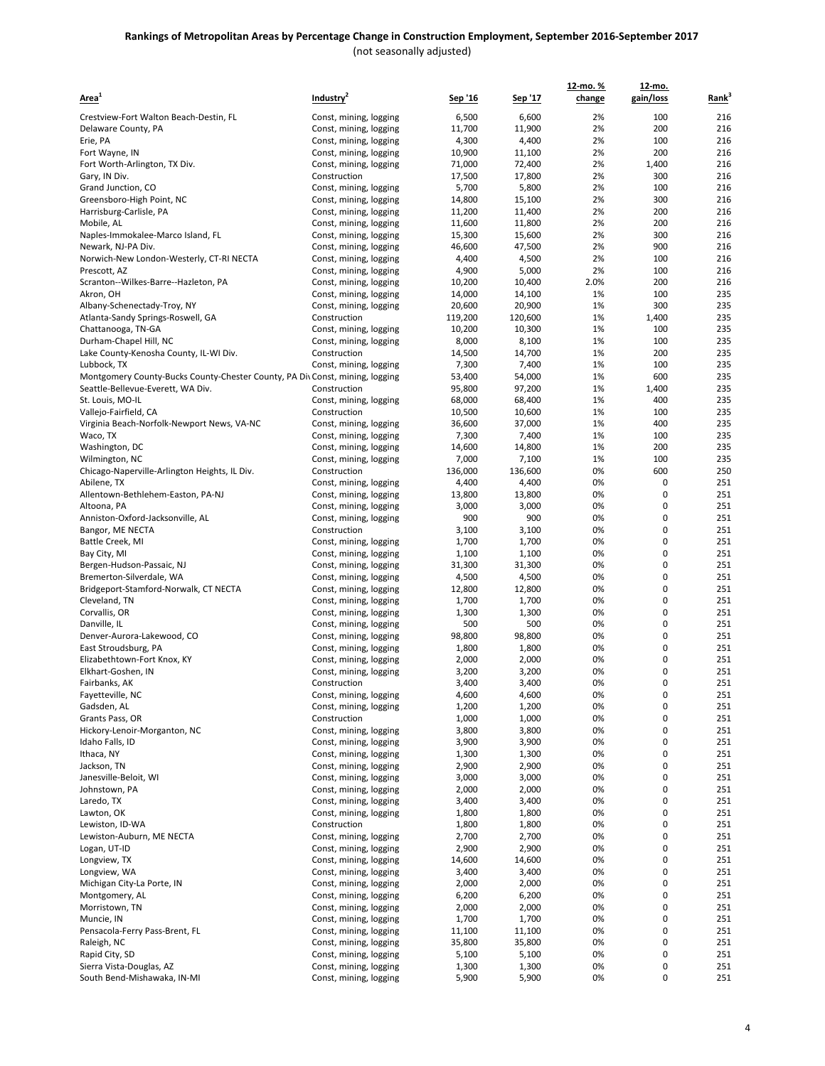| <u>Area<sup>1</sup></u>                                                      | Industry <sup>2</sup>                            | <u>Sep '16</u>  | Sep '17         | 12-mo. %<br>change | 12-mo.<br>gain/loss | Rank <sup>3</sup> |
|------------------------------------------------------------------------------|--------------------------------------------------|-----------------|-----------------|--------------------|---------------------|-------------------|
| Crestview-Fort Walton Beach-Destin, FL                                       | Const, mining, logging                           | 6,500           | 6,600           | 2%                 | 100                 | 216               |
| Delaware County, PA                                                          | Const, mining, logging                           | 11,700          | 11,900          | 2%                 | 200                 | 216               |
| Erie, PA                                                                     | Const, mining, logging                           | 4,300           | 4,400           | 2%                 | 100                 | 216               |
| Fort Wayne, IN                                                               | Const, mining, logging                           | 10,900          | 11,100          | 2%                 | 200                 | 216               |
| Fort Worth-Arlington, TX Div.                                                | Const, mining, logging                           | 71,000          | 72,400          | 2%                 | 1,400               | 216               |
| Gary, IN Div.                                                                | Construction                                     | 17,500          | 17,800          | 2%                 | 300                 | 216               |
| Grand Junction, CO                                                           | Const, mining, logging                           | 5,700           | 5,800           | 2%                 | 100                 | 216               |
| Greensboro-High Point, NC                                                    | Const, mining, logging                           | 14,800          | 15,100          | 2%                 | 300                 | 216               |
| Harrisburg-Carlisle, PA                                                      | Const, mining, logging                           | 11,200          | 11,400          | 2%                 | 200                 | 216               |
| Mobile, AL                                                                   | Const, mining, logging                           | 11,600          | 11,800          | 2%                 | 200                 | 216               |
| Naples-Immokalee-Marco Island, FL                                            | Const, mining, logging                           | 15,300          | 15,600          | 2%                 | 300                 | 216               |
| Newark, NJ-PA Div.                                                           | Const, mining, logging                           | 46,600          | 47,500          | 2%                 | 900                 | 216               |
| Norwich-New London-Westerly, CT-RI NECTA                                     | Const, mining, logging                           | 4,400           | 4,500           | 2%                 | 100                 | 216               |
| Prescott, AZ                                                                 | Const, mining, logging                           | 4,900           | 5,000           | 2%                 | 100                 | 216               |
| Scranton--Wilkes-Barre--Hazleton, PA                                         | Const, mining, logging                           | 10,200          | 10,400          | 2.0%               | 200                 | 216               |
| Akron, OH                                                                    | Const, mining, logging                           | 14,000          | 14,100          | 1%                 | 100                 | 235               |
| Albany-Schenectady-Troy, NY                                                  | Const, mining, logging                           | 20,600          | 20,900          | 1%                 | 300                 | 235               |
| Atlanta-Sandy Springs-Roswell, GA<br>Chattanooga, TN-GA                      | Construction                                     | 119,200         | 120,600         | 1%<br>1%           | 1,400<br>100        | 235<br>235        |
| Durham-Chapel Hill, NC                                                       | Const, mining, logging<br>Const, mining, logging | 10,200<br>8,000 | 10,300<br>8,100 | 1%                 | 100                 | 235               |
| Lake County-Kenosha County, IL-WI Div.                                       | Construction                                     | 14,500          | 14,700          | 1%                 | 200                 | 235               |
| Lubbock, TX                                                                  | Const, mining, logging                           | 7,300           | 7,400           | 1%                 | 100                 | 235               |
| Montgomery County-Bucks County-Chester County, PA Div Const, mining, logging |                                                  | 53,400          | 54,000          | 1%                 | 600                 | 235               |
| Seattle-Bellevue-Everett, WA Div.                                            | Construction                                     | 95,800          | 97,200          | 1%                 | 1,400               | 235               |
| St. Louis, MO-IL                                                             | Const, mining, logging                           | 68,000          | 68,400          | 1%                 | 400                 | 235               |
| Vallejo-Fairfield, CA                                                        | Construction                                     | 10,500          | 10,600          | 1%                 | 100                 | 235               |
| Virginia Beach-Norfolk-Newport News, VA-NC                                   | Const, mining, logging                           | 36,600          | 37,000          | 1%                 | 400                 | 235               |
| Waco, TX                                                                     | Const, mining, logging                           | 7,300           | 7,400           | 1%                 | 100                 | 235               |
| Washington, DC                                                               | Const, mining, logging                           | 14,600          | 14,800          | 1%                 | 200                 | 235               |
| Wilmington, NC                                                               | Const, mining, logging                           | 7,000           | 7,100           | 1%                 | 100                 | 235               |
| Chicago-Naperville-Arlington Heights, IL Div.                                | Construction                                     | 136,000         | 136,600         | 0%                 | 600                 | 250               |
| Abilene, TX                                                                  | Const, mining, logging                           | 4,400           | 4,400           | 0%                 | 0                   | 251               |
| Allentown-Bethlehem-Easton, PA-NJ                                            | Const, mining, logging                           | 13,800          | 13,800          | 0%                 | 0                   | 251               |
| Altoona, PA                                                                  | Const, mining, logging                           | 3,000           | 3,000           | 0%                 | 0                   | 251               |
| Anniston-Oxford-Jacksonville, AL                                             | Const, mining, logging                           | 900             | 900             | 0%                 | 0                   | 251               |
| Bangor, ME NECTA                                                             | Construction                                     | 3,100           | 3,100           | 0%<br>0%           | 0<br>0              | 251<br>251        |
| Battle Creek, MI<br>Bay City, MI                                             | Const, mining, logging<br>Const, mining, logging | 1,700<br>1,100  | 1,700<br>1,100  | 0%                 | 0                   | 251               |
| Bergen-Hudson-Passaic, NJ                                                    | Const, mining, logging                           | 31,300          | 31,300          | 0%                 | 0                   | 251               |
| Bremerton-Silverdale, WA                                                     | Const, mining, logging                           | 4,500           | 4,500           | 0%                 | 0                   | 251               |
| Bridgeport-Stamford-Norwalk, CT NECTA                                        | Const, mining, logging                           | 12,800          | 12,800          | 0%                 | 0                   | 251               |
| Cleveland, TN                                                                | Const, mining, logging                           | 1,700           | 1,700           | 0%                 | 0                   | 251               |
| Corvallis, OR                                                                | Const, mining, logging                           | 1,300           | 1,300           | 0%                 | 0                   | 251               |
| Danville, IL                                                                 | Const, mining, logging                           | 500             | 500             | 0%                 | 0                   | 251               |
| Denver-Aurora-Lakewood, CO                                                   | Const, mining, logging                           | 98,800          | 98,800          | 0%                 | 0                   | 251               |
| East Stroudsburg, PA                                                         | Const, mining, logging                           | 1,800           | 1,800           | 0%                 | 0                   | 251               |
| Elizabethtown-Fort Knox, KY                                                  | Const, mining, logging                           | 2,000           | 2,000           | 0%                 | 0                   | 251               |
| Elkhart-Goshen, IN                                                           | Const, mining, logging                           | 3,200           | 3,200           | 0%                 | 0                   | 251               |
| Fairbanks, AK                                                                | Construction                                     | 3,400           | 3,400           | 0%                 | 0                   | 251               |
| Fayetteville, NC                                                             | Const, mining, logging                           | 4,600           | 4,600           | 0%                 | 0                   | 251               |
| Gadsden, AL                                                                  | Const, mining, logging                           | 1,200           | 1,200           | 0%                 | 0                   | 251               |
| Grants Pass, OR                                                              | Construction                                     | 1,000           | 1,000           | 0%                 | 0                   | 251               |
| Hickory-Lenoir-Morganton, NC                                                 | Const, mining, logging                           | 3,800           | 3,800           | 0%                 | 0                   | 251               |
| Idaho Falls, ID                                                              | Const, mining, logging                           | 3,900           | 3,900           | 0%                 | 0                   | 251               |
| Ithaca, NY<br>Jackson, TN                                                    | Const, mining, logging<br>Const, mining, logging | 1,300<br>2,900  | 1,300<br>2,900  | 0%<br>0%           | 0<br>0              | 251<br>251        |
| Janesville-Beloit, WI                                                        | Const, mining, logging                           | 3,000           | 3,000           | 0%                 | 0                   | 251               |
| Johnstown, PA                                                                | Const, mining, logging                           | 2,000           | 2,000           | 0%                 | 0                   | 251               |
| Laredo, TX                                                                   | Const, mining, logging                           | 3,400           | 3,400           | 0%                 | 0                   | 251               |
| Lawton, OK                                                                   | Const, mining, logging                           | 1,800           | 1,800           | 0%                 | 0                   | 251               |
| Lewiston, ID-WA                                                              | Construction                                     | 1,800           | 1,800           | 0%                 | 0                   | 251               |
| Lewiston-Auburn, ME NECTA                                                    | Const, mining, logging                           | 2,700           | 2,700           | 0%                 | 0                   | 251               |
| Logan, UT-ID                                                                 | Const, mining, logging                           | 2,900           | 2,900           | 0%                 | 0                   | 251               |
| Longview, TX                                                                 | Const, mining, logging                           | 14,600          | 14,600          | 0%                 | 0                   | 251               |
| Longview, WA                                                                 | Const, mining, logging                           | 3,400           | 3,400           | 0%                 | 0                   | 251               |
| Michigan City-La Porte, IN                                                   | Const, mining, logging                           | 2,000           | 2,000           | 0%                 | 0                   | 251               |
| Montgomery, AL                                                               | Const, mining, logging                           | 6,200           | 6,200           | 0%                 | 0                   | 251               |
| Morristown, TN                                                               | Const, mining, logging                           | 2,000           | 2,000           | 0%                 | 0                   | 251               |
| Muncie, IN                                                                   | Const, mining, logging                           | 1,700           | 1,700           | 0%                 | 0                   | 251               |
| Pensacola-Ferry Pass-Brent, FL                                               | Const, mining, logging                           | 11,100          | 11,100          | 0%                 | 0                   | 251               |
| Raleigh, NC                                                                  | Const, mining, logging                           | 35,800          | 35,800          | 0%                 | 0                   | 251               |
| Rapid City, SD                                                               | Const, mining, logging                           | 5,100           | 5,100           | 0%                 | 0                   | 251               |
| Sierra Vista-Douglas, AZ                                                     | Const, mining, logging                           | 1,300           | 1,300           | 0%                 | 0                   | 251               |
| South Bend-Mishawaka, IN-MI                                                  | Const, mining, logging                           | 5,900           | 5,900           | 0%                 | 0                   | 251               |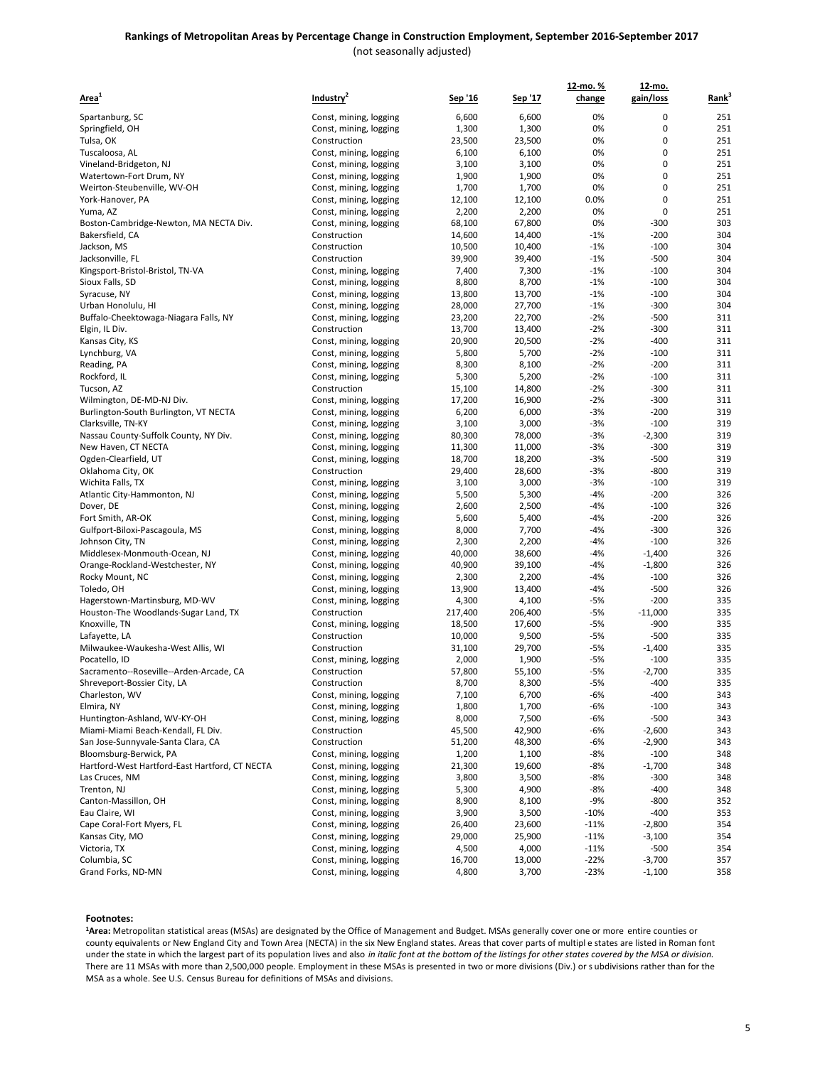| Area <sup>1</sup>                              | Industry <sup>2</sup>  | <u>Sep '16</u> | <u>Sep '17</u> | <u>12-mo. %</u><br>change | 12-mo.<br>gain/loss | Rank <sup>3</sup> |
|------------------------------------------------|------------------------|----------------|----------------|---------------------------|---------------------|-------------------|
| Spartanburg, SC                                | Const, mining, logging | 6,600          | 6,600          | 0%                        | 0                   | 251               |
| Springfield, OH                                | Const, mining, logging | 1,300          | 1,300          | 0%                        | 0                   | 251               |
| Tulsa, OK                                      | Construction           | 23,500         | 23,500         | 0%                        | 0                   | 251               |
| Tuscaloosa, AL                                 | Const, mining, logging | 6,100          | 6,100          | 0%                        | 0                   | 251               |
| Vineland-Bridgeton, NJ                         | Const, mining, logging | 3,100          | 3,100          | 0%                        | 0                   | 251               |
| Watertown-Fort Drum, NY                        | Const, mining, logging | 1,900          | 1,900          | 0%                        | 0                   | 251               |
| Weirton-Steubenville, WV-OH                    | Const, mining, logging | 1,700          | 1,700          | 0%                        | 0                   | 251               |
| York-Hanover, PA                               | Const, mining, logging | 12,100         | 12,100         | 0.0%                      | 0                   | 251               |
| Yuma, AZ                                       | Const, mining, logging | 2,200          | 2,200          | 0%                        | 0                   | 251               |
| Boston-Cambridge-Newton, MA NECTA Div.         | Const, mining, logging | 68,100         | 67,800         | 0%                        | $-300$              | 303               |
| Bakersfield, CA                                | Construction           | 14,600         | 14,400         | $-1%$                     | $-200$              | 304               |
| Jackson, MS                                    | Construction           | 10,500         | 10,400         | $-1%$                     | $-100$              | 304               |
| Jacksonville, FL                               | Construction           | 39,900         | 39,400         | $-1%$                     | $-500$              | 304               |
| Kingsport-Bristol-Bristol, TN-VA               | Const, mining, logging | 7,400          | 7,300          | $-1%$                     | $-100$              | 304               |
| Sioux Falls, SD                                | Const, mining, logging | 8,800          | 8,700          | $-1%$                     | $-100$              | 304               |
| Syracuse, NY                                   | Const, mining, logging | 13,800         | 13,700         | $-1%$                     | $-100$              | 304               |
| Urban Honolulu, HI                             | Const, mining, logging | 28,000         | 27,700         | $-1%$                     | $-300$              | 304               |
| Buffalo-Cheektowaga-Niagara Falls, NY          | Const, mining, logging | 23,200         | 22,700         | $-2%$                     | $-500$              | 311               |
| Elgin, IL Div.                                 | Construction           | 13,700         | 13,400         | $-2%$                     | $-300$              | 311               |
| Kansas City, KS                                | Const, mining, logging | 20,900         | 20,500         | $-2%$                     | $-400$              | 311               |
| Lynchburg, VA                                  | Const, mining, logging | 5,800          | 5,700          | $-2%$                     | $-100$              | 311               |
| Reading, PA                                    | Const, mining, logging | 8,300          | 8,100          | $-2%$                     | $-200$              | 311               |
| Rockford, IL                                   | Const, mining, logging | 5,300          | 5,200          | $-2%$                     | $-100$              | 311               |
| Tucson, AZ                                     | Construction           | 15,100         | 14,800         | $-2%$                     | $-300$              | 311               |
| Wilmington, DE-MD-NJ Div.                      | Const, mining, logging | 17,200         | 16,900         | $-2%$                     | $-300$              | 311               |
| Burlington-South Burlington, VT NECTA          | Const, mining, logging | 6,200          | 6,000          | $-3%$                     | $-200$              | 319               |
| Clarksville, TN-KY                             | Const, mining, logging | 3,100          | 3,000          | $-3%$                     | $-100$              | 319               |
| Nassau County-Suffolk County, NY Div.          | Const, mining, logging | 80,300         | 78,000         | $-3%$                     | $-2,300$            | 319               |
| New Haven, CT NECTA                            | Const, mining, logging | 11,300         | 11,000         | $-3%$                     | $-300$              | 319               |
| Ogden-Clearfield, UT                           | Const, mining, logging | 18,700         | 18,200         | $-3%$                     | $-500$              | 319               |
| Oklahoma City, OK                              | Construction           | 29,400         | 28,600         | $-3%$                     | $-800$              | 319               |
| Wichita Falls, TX                              | Const, mining, logging | 3,100          | 3,000          | $-3%$                     | $-100$              | 319               |
| Atlantic City-Hammonton, NJ                    | Const, mining, logging | 5,500          | 5,300          | $-4%$                     | $-200$              | 326               |
| Dover, DE                                      | Const, mining, logging | 2,600          | 2,500          | $-4%$                     | $-100$              | 326               |
| Fort Smith, AR-OK                              | Const, mining, logging | 5,600          | 5,400          | $-4%$                     | $-200$              | 326               |
| Gulfport-Biloxi-Pascagoula, MS                 | Const, mining, logging | 8,000          | 7,700          | $-4%$                     | $-300$              | 326               |
| Johnson City, TN                               | Const, mining, logging | 2,300          | 2,200          | $-4%$                     | $-100$              | 326               |
| Middlesex-Monmouth-Ocean, NJ                   | Const, mining, logging | 40,000         | 38,600         | $-4%$                     | $-1,400$            | 326               |
| Orange-Rockland-Westchester, NY                | Const, mining, logging | 40,900         | 39,100         | $-4%$                     | $-1,800$            | 326               |
| Rocky Mount, NC                                | Const, mining, logging | 2,300          | 2,200          | $-4%$                     | $-100$              | 326               |
| Toledo, OH                                     | Const, mining, logging | 13,900         | 13,400         | $-4%$                     | $-500$              | 326               |
| Hagerstown-Martinsburg, MD-WV                  | Const, mining, logging | 4,300          | 4,100          | $-5%$                     | $-200$              | 335               |
| Houston-The Woodlands-Sugar Land, TX           | Construction           | 217,400        | 206,400        | $-5%$                     | $-11,000$           | 335               |
| Knoxville, TN                                  | Const, mining, logging | 18,500         | 17,600         | $-5%$                     | $-900$              | 335               |
| Lafayette, LA                                  | Construction           | 10,000         | 9,500          | $-5%$                     | $-500$              | 335               |
| Milwaukee-Waukesha-West Allis, WI              | Construction           | 31,100         | 29,700         | $-5%$                     | $-1,400$            | 335               |
| Pocatello, ID                                  | Const, mining, logging | 2,000          | 1,900          | $-5%$                     | $-100$              | 335               |
| Sacramento--Roseville--Arden-Arcade, CA        | Construction           | 57,800         | 55,100         | $-5%$                     | $-2,700$            | 335               |
| Shreveport-Bossier City, LA                    | Construction           | 8,700          | 8,300          | -5%                       | $-400$              | 335               |
| Charleston, WV                                 | Const, mining, logging | 7,100          | 6,700          | $-6%$                     | $-400$              | 343               |
| Elmira, NY                                     | Const, mining, logging | 1,800          | 1,700          | -6%                       | $-100$              | 343               |
| Huntington-Ashland, WV-KY-OH                   | Const, mining, logging | 8,000          | 7,500          | $-6%$                     | $-500$              | 343               |
| Miami-Miami Beach-Kendall, FL Div.             | Construction           | 45,500         | 42,900         | -6%                       | $-2,600$            | 343               |
| San Jose-Sunnyvale-Santa Clara, CA             | Construction           | 51,200         | 48,300         | $-6%$                     | $-2,900$            | 343               |
| Bloomsburg-Berwick, PA                         | Const, mining, logging | 1,200          | 1,100          | -8%                       | $-100$              | 348               |
| Hartford-West Hartford-East Hartford, CT NECTA | Const, mining, logging | 21,300         | 19,600         | $-8%$                     | $-1,700$            | 348               |
| Las Cruces, NM                                 | Const, mining, logging | 3,800          | 3,500          | -8%                       | $-300$              | 348               |
| Trenton, NJ                                    | Const, mining, logging | 5,300          | 4,900          | -8%                       | $-400$              | 348               |
| Canton-Massillon, OH                           | Const, mining, logging | 8,900          | 8,100          | $-9%$                     | $-800$              | 352               |
| Eau Claire, WI                                 | Const, mining, logging | 3,900          | 3,500          | $-10%$                    | $-400$              | 353               |
| Cape Coral-Fort Myers, FL                      | Const, mining, logging | 26,400         | 23,600         | $-11%$                    | $-2,800$            | 354               |
| Kansas City, MO                                | Const, mining, logging | 29,000         | 25,900         | $-11%$                    | $-3,100$            | 354               |
| Victoria, TX                                   | Const, mining, logging | 4,500          | 4,000          | $-11%$                    | $-500$              | 354               |
| Columbia, SC                                   | Const, mining, logging | 16,700         | 13,000         | $-22%$                    | $-3,700$            | 357               |
| Grand Forks, ND-MN                             | Const, mining, logging | 4,800          | 3,700          | $-23%$                    | $-1,100$            | 358               |

#### **Footnotes:**

**<sup>1</sup>Area:** Metropolitan statistical areas (MSAs) are designated by the Office of Management and Budget. MSAs generally cover one or more entire counties or county equivalents or New England City and Town Area (NECTA) in the six New England states. Areas that cover parts of multipl e states are listed in Roman font under the state in which the largest part of its population lives and also *in italic font at the bottom of the listings for other states covered by the MSA or division.* There are 11 MSAs with more than 2,500,000 people. Employment in these MSAs is presented in two or more divisions (Div.) or s ubdivisions rather than for the MSA as a whole. See U.S. Census Bureau for definitions of MSAs and divisions.